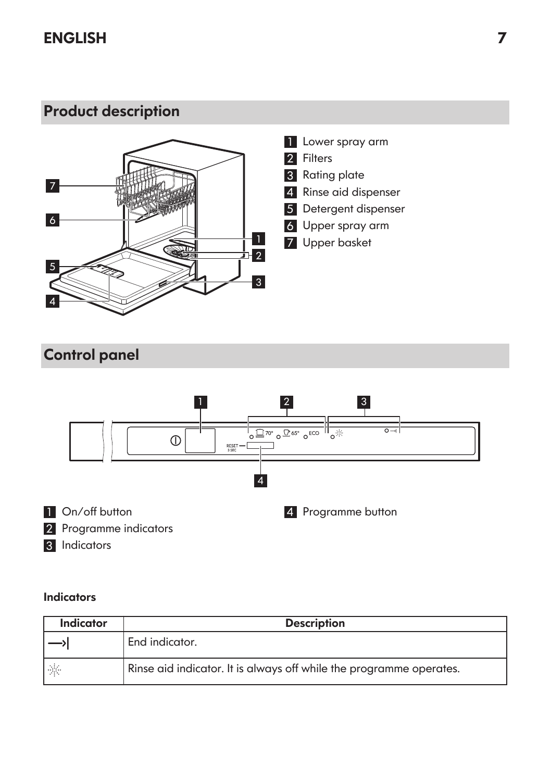

- 1 Lower spray arm
- 2 Filters
- Rating plate
- Rinse aid dispenser
- Detergent dispenser
- Upper spray arm
- Upper basket

## Control panel



### **Indicators**

| Indicator | <b>Description</b>                                                  |  |  |
|-----------|---------------------------------------------------------------------|--|--|
|           | End indicator.                                                      |  |  |
| $\sim$    | Rinse aid indicator. It is always off while the programme operates. |  |  |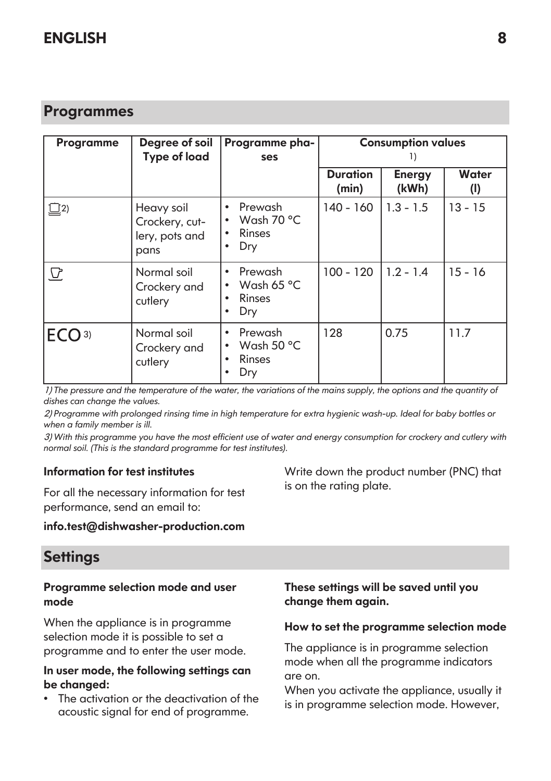## Programmes

| Programme         | Degree of soil<br><b>Type of load</b>                  | Programme pha-<br>ses                                                      | <b>Consumption values</b><br>H) |                 |                       |
|-------------------|--------------------------------------------------------|----------------------------------------------------------------------------|---------------------------------|-----------------|-----------------------|
|                   |                                                        |                                                                            | <b>Duration</b><br>(min)        | Energy<br>(kWh) | <b>Water</b><br>$($ l |
| $\bigsqcup$ 2)    | Heavy soil<br>Crockery, cut-<br>lery, pots and<br>pans | Prewash<br>$\bullet$<br>Wash 70 °C<br>$\bullet$<br>Rinses<br>٠<br>Dry<br>٠ | 140 - 160                       | $1.3 - 1.5$     | $13 - 15$             |
| $\mathbf{\Omega}$ | Normal soil<br>Crockery and<br>cutlery                 | Prewash<br>٠<br>Wash 65 °C<br>$\bullet$<br>Rinses<br>٠<br>Dry<br>٠         | $100 - 120$                     | $1.2 - 1.4$     | $15 - 16$             |
| ECO <sup>3)</sup> | Normal soil<br>Crockery and<br>cutlery                 | Prewash<br>٠<br>Wash 50 $\degree$ C<br>$\bullet$<br>Rinses<br>٠<br>Dry     | 128                             | 0.75            | 11.7                  |

1) *The pressure and the temperature of the water, the variations of the mains supply, the options and the quantity of dishes can change the values.*

2) *Programme with prolonged rinsing time in high temperature for extra hygienic wash-up. Ideal for baby bottles or when a family member is ill.*

3) *With this programme you have the most efficient use of water and energy consumption for crockery and cutlery with normal soil. (This is the standard programme for test institutes).*

#### Information for test institutes

For all the necessary information for test performance, send an email to:

#### info.test@dishwasher-production.com

## **Settings**

#### Programme selection mode and user mode

When the appliance is in programme selection mode it is possible to set a programme and to enter the user mode.

#### In user mode, the following settings can be changed:

• The activation or the deactivation of the acoustic signal for end of programme.

Write down the product number (PNC) that is on the rating plate.

### These settings will be saved until you change them again.

#### How to set the programme selection mode

The appliance is in programme selection mode when all the programme indicators are on.

When you activate the appliance, usually it is in programme selection mode. However,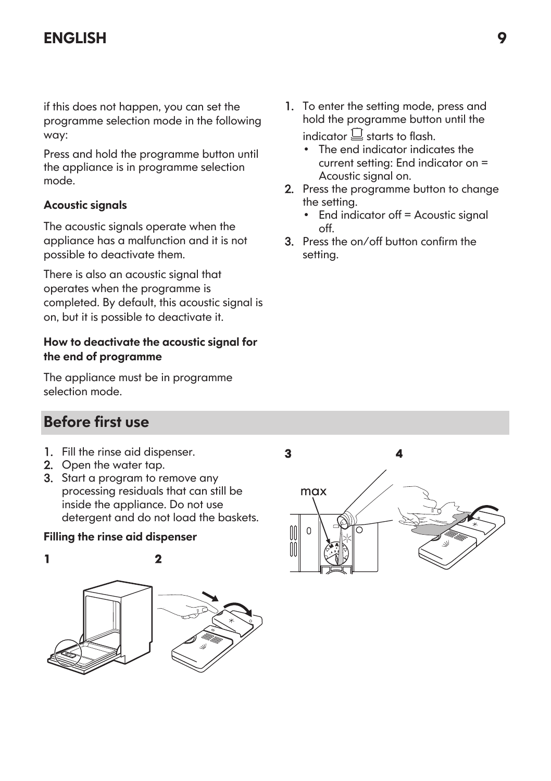if this does not happen, you can set the programme selection mode in the following way:

Press and hold the programme button until the appliance is in programme selection mode.

### Acoustic signals

The acoustic signals operate when the appliance has a malfunction and it is not possible to deactivate them.

There is also an acoustic signal that operates when the programme is completed. By default, this acoustic signal is on, but it is possible to deactivate it.

### How to deactivate the acoustic signal for the end of programme

The appliance must be in programme selection mode.

## Before first use

- 1. Fill the rinse aid dispenser.
- 2. Open the water tap.
- 3. Start a program to remove any processing residuals that can still be inside the appliance. Do not use detergent and do not load the baskets.

### Filling the rinse aid dispenser



- 1. To enter the setting mode, press and hold the programme button until the indicator  $\Box$  starts to flash.
	- The end indicator indicates the current setting: End indicator on = Acoustic signal on.
- 2. Press the programme button to change the setting.
	- End indicator off = Acoustic signal  $\sim$ ff.
- 3. Press the on/off button confirm the setting.

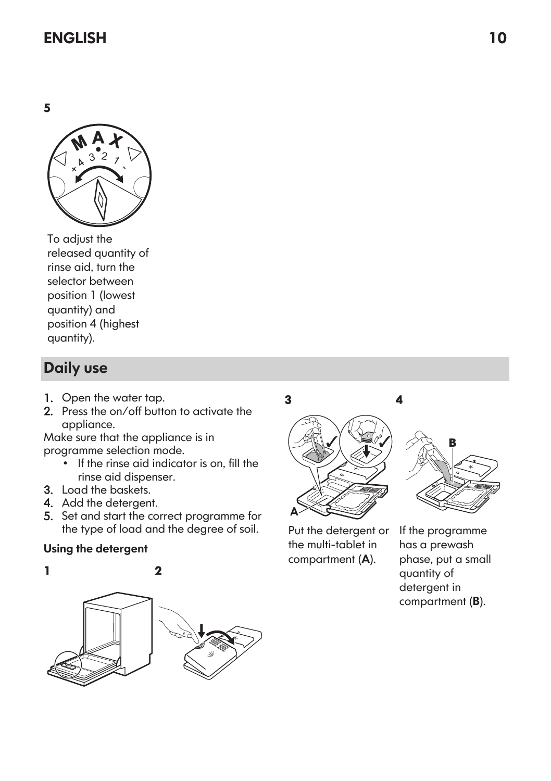5



To adjust the released quantity of rinse aid, turn the selector between position 1 (lowest quantity) and position 4 (highest quantity).

# Daily use

- 1. Open the water tap.
- 2. Press the on/off button to activate the appliance.

Make sure that the appliance is in programme selection mode.

- If the rinse aid indicator is on, fill the rinse aid dispenser.
- 3. Load the baskets.
- 4. Add the detergent.
- 5. Set and start the correct programme for the type of load and the degree of soil.

## Using the detergent



3 A



Put the detergent or the multi-tablet in compartment (A). If the programme has a prewash phase, put a small quantity of detergent in

compartment (B).

4

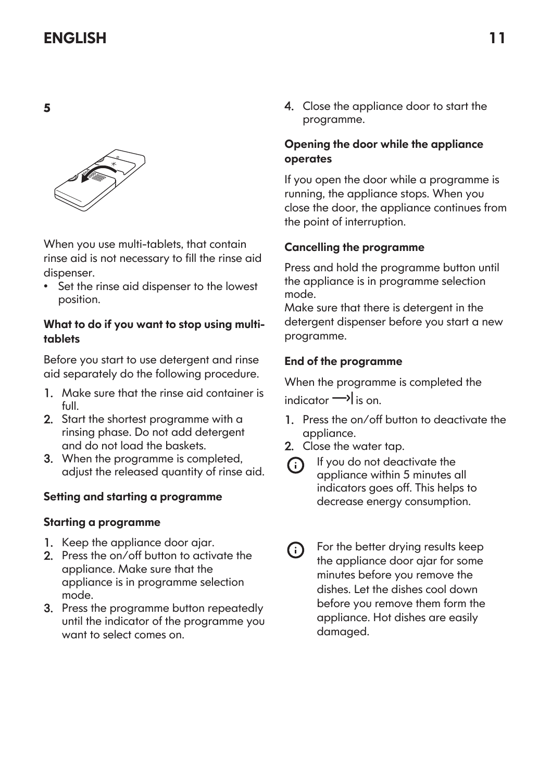

When you use multi-tablets, that contain rinse aid is not necessary to fill the rinse aid dispenser.

• Set the rinse aid dispenser to the lowest position.

#### What to do if you want to stop using multitablets

Before you start to use detergent and rinse aid separately do the following procedure.

- 1. Make sure that the rinse aid container is full.
- 2. Start the shortest programme with a rinsing phase. Do not add detergent and do not load the baskets.
- 3. When the programme is completed, adjust the released quantity of rinse aid.

### Setting and starting a programme

### Starting a programme

- 1. Keep the appliance door ajar.
- 2. Press the on/off button to activate the appliance. Make sure that the appliance is in programme selection mode.
- 3. Press the programme button repeatedly until the indicator of the programme you want to select comes on.

4. Close the appliance door to start the programme.

### Opening the door while the appliance operates

If you open the door while a programme is running, the appliance stops. When you close the door, the appliance continues from the point of interruption.

## Cancelling the programme

Press and hold the programme button until the appliance is in programme selection mode.

Make sure that there is detergent in the detergent dispenser before you start a new programme.

### End of the programme

When the programme is completed the  $indactor \rightarrow is on$ 

- 1. Press the on/off button to deactivate the appliance.
- 2. Close the water tap.
- If you do not deactivate the ⋒ appliance within 5 minutes all indicators goes off. This helps to decrease energy consumption.
- For the better drying results keep  $(i)$ the appliance door ajar for some minutes before you remove the dishes. Let the dishes cool down before you remove them form the appliance. Hot dishes are easily damaged.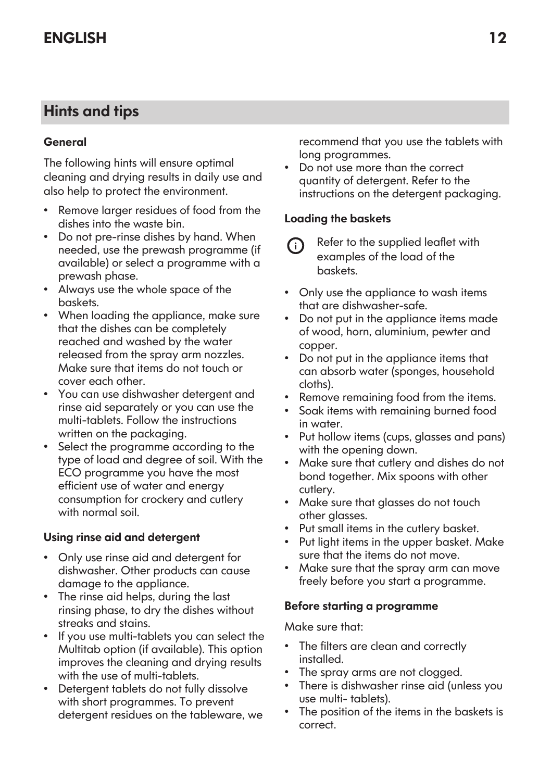## Hints and tips

### General

The following hints will ensure optimal cleaning and drying results in daily use and also help to protect the environment.

- Remove larger residues of food from the dishes into the waste bin.
- Do not pre-rinse dishes by hand. When needed, use the prewash programme (if available) or select a programme with a prewash phase.
- Always use the whole space of the baskets.
- When loading the appliance, make sure that the dishes can be completely reached and washed by the water released from the spray arm nozzles. Make sure that items do not touch or cover each other.
- You can use dishwasher detergent and rinse aid separately or you can use the multi-tablets. Follow the instructions written on the packaging.
- Select the programme according to the type of load and degree of soil. With the ECO programme you have the most efficient use of water and energy consumption for crockery and cutlery with normal soil.

### Using rinse aid and detergent

- Only use rinse aid and detergent for dishwasher. Other products can cause damage to the appliance.
- The rinse aid helps, during the last rinsing phase, to dry the dishes without streaks and stains.
- If you use multi-tablets you can select the Multitab option (if available). This option improves the cleaning and drying results with the use of multi-tablets.
- Detergent tablets do not fully dissolve with short programmes. To prevent detergent residues on the tableware, we

recommend that you use the tablets with long programmes.

• Do not use more than the correct quantity of detergent. Refer to the instructions on the detergent packaging.

### Loading the baskets

- Refer to the supplied leaflet with ⋒ examples of the load of the baskets.
- Only use the appliance to wash items that are dishwasher-safe.
- Do not put in the appliance items made of wood, horn, aluminium, pewter and copper.
- Do not put in the appliance items that can absorb water (sponges, household cloths).
- Remove remaining food from the items.
- Soak items with remaining burned food in water.
- Put hollow items (cups, glasses and pans) with the opening down.
- Make sure that cutlery and dishes do not bond together. Mix spoons with other cutlery.
- Make sure that glasses do not touch other glasses.
- Put small items in the cutlery basket.
- Put light items in the upper basket. Make sure that the items do not move.
- Make sure that the spray arm can move freely before you start a programme.

#### Before starting a programme

Make sure that:

- The filters are clean and correctly installed.
- The spray arms are not clogged.
- There is dishwasher rinse aid (unless you use multi- tablets).
- The position of the items in the baskets is correct.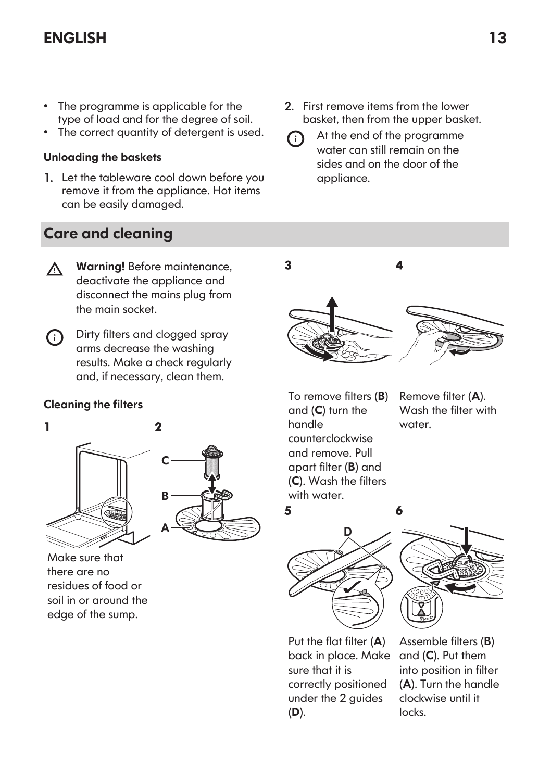- The programme is applicable for the type of load and for the degree of soil.
- The correct quantity of detergent is used.

#### Unloading the baskets

1. Let the tableware cool down before you remove it from the appliance. Hot items can be easily damaged.

## Care and cleaning

- 2. First remove items from the lower basket, then from the upper basket.
- At the end of the programme G) water can still remain on the sides and on the door of the appliance.

- Warning! Before maintenance,  $\wedge$ deactivate the appliance and disconnect the mains plug from the main socket.
- Dirty filters and clogged spray (i) arms decrease the washing results. Make a check regularly and, if necessary, clean them.

#### Cleaning the filters





Make sure that there are no residues of food or soil in or around the edge of the sump.

3 4

6

To remove filters (B) and (C) turn the handle counterclockwise and remove. Pull apart filter (B) and (C). Wash the filters with water.

Remove filter (A). Wash the filter with water.

5





Put the flat filter (A) back in place. Make sure that it is correctly positioned under the 2 guides (D).

Assemble filters (B) and (C). Put them into position in filter (A). Turn the handle clockwise until it locks.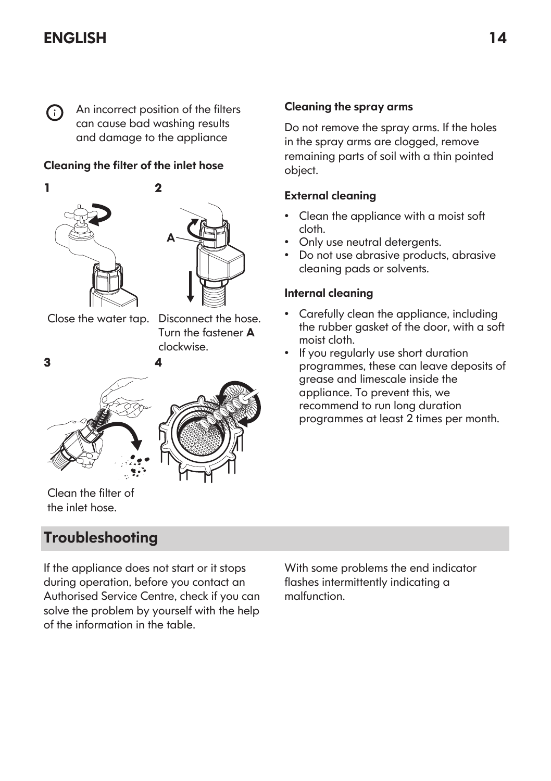G)

An incorrect position of the filters can cause bad washing results and damage to the appliance

2

#### Cleaning the filter of the inlet hose





Close the water tap. Disconnect the hose.

Turn the fastener A clockwise.



Clean the filter of the inlet hose.

## **Troubleshooting**

If the appliance does not start or it stops during operation, before you contact an Authorised Service Centre, check if you can solve the problem by yourself with the help of the information in the table.

With some problems the end indicator flashes intermittently indicating a malfunction.

#### Cleaning the spray arms

Do not remove the spray arms. If the holes in the spray arms are clogged, remove remaining parts of soil with a thin pointed object.

#### External cleaning

- Clean the appliance with a moist soft cloth.
- Only use neutral detergents.
- Do not use abrasive products, abrasive cleaning pads or solvents.

#### Internal cleaning

- Carefully clean the appliance, including the rubber gasket of the door, with a soft moist cloth.
- If you regularly use short duration programmes, these can leave deposits of grease and limescale inside the appliance. To prevent this, we recommend to run long duration programmes at least 2 times per month.